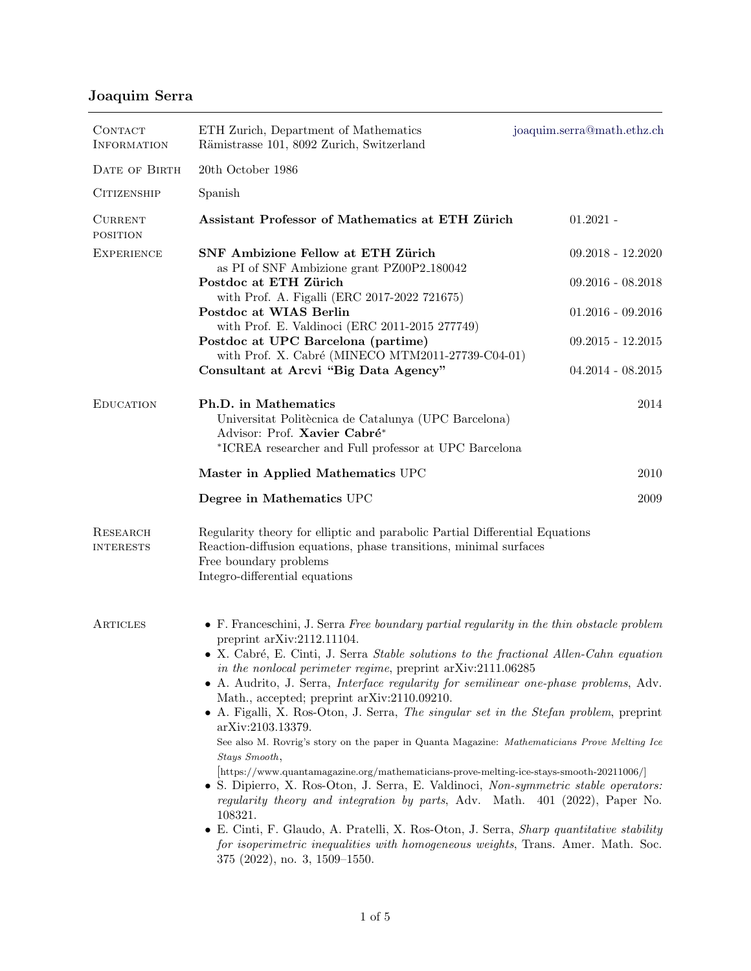## Joaquim Serra

| CONTACT<br><b>INFORMATION</b>       | ETH Zurich, Department of Mathematics<br>Rämistrasse 101, 8092 Zurich, Switzerland                                                                                                                                                                                                                                                                                                                                                                                                                                                                                                                                                                                                                                                                                                                                                                                                                                                                                                                                                                                                                                                                                           | joaquim.serra@math.ethz.ch |
|-------------------------------------|------------------------------------------------------------------------------------------------------------------------------------------------------------------------------------------------------------------------------------------------------------------------------------------------------------------------------------------------------------------------------------------------------------------------------------------------------------------------------------------------------------------------------------------------------------------------------------------------------------------------------------------------------------------------------------------------------------------------------------------------------------------------------------------------------------------------------------------------------------------------------------------------------------------------------------------------------------------------------------------------------------------------------------------------------------------------------------------------------------------------------------------------------------------------------|----------------------------|
| DATE OF BIRTH                       | 20th October 1986                                                                                                                                                                                                                                                                                                                                                                                                                                                                                                                                                                                                                                                                                                                                                                                                                                                                                                                                                                                                                                                                                                                                                            |                            |
| <b>CITIZENSHIP</b>                  | Spanish                                                                                                                                                                                                                                                                                                                                                                                                                                                                                                                                                                                                                                                                                                                                                                                                                                                                                                                                                                                                                                                                                                                                                                      |                            |
| <b>CURRENT</b><br><b>POSITION</b>   | Assistant Professor of Mathematics at ETH Zürich                                                                                                                                                                                                                                                                                                                                                                                                                                                                                                                                                                                                                                                                                                                                                                                                                                                                                                                                                                                                                                                                                                                             | $01.2021 -$                |
| <b>EXPERIENCE</b>                   | SNF Ambizione Fellow at ETH Zürich<br>as PI of SNF Ambizione grant PZ00P2_180042                                                                                                                                                                                                                                                                                                                                                                                                                                                                                                                                                                                                                                                                                                                                                                                                                                                                                                                                                                                                                                                                                             | $09.2018 - 12.2020$        |
|                                     | Postdoc at ETH Zürich<br>with Prof. A. Figalli (ERC 2017-2022 721675)<br>Postdoc at WIAS Berlin<br>with Prof. E. Valdinoci (ERC 2011-2015 277749)<br>Postdoc at UPC Barcelona (partime)<br>with Prof. X. Cabré (MINECO MTM2011-27739-C04-01)                                                                                                                                                                                                                                                                                                                                                                                                                                                                                                                                                                                                                                                                                                                                                                                                                                                                                                                                 | $09.2016 - 08.2018$        |
|                                     |                                                                                                                                                                                                                                                                                                                                                                                                                                                                                                                                                                                                                                                                                                                                                                                                                                                                                                                                                                                                                                                                                                                                                                              | $01.2016 - 09.2016$        |
|                                     |                                                                                                                                                                                                                                                                                                                                                                                                                                                                                                                                                                                                                                                                                                                                                                                                                                                                                                                                                                                                                                                                                                                                                                              | $09.2015 - 12.2015$        |
|                                     | Consultant at Arcvi "Big Data Agency"                                                                                                                                                                                                                                                                                                                                                                                                                                                                                                                                                                                                                                                                                                                                                                                                                                                                                                                                                                                                                                                                                                                                        | $04.2014 - 08.2015$        |
| <b>EDUCATION</b>                    | Ph.D. in Mathematics<br>Universitat Politècnica de Catalunya (UPC Barcelona)<br>Advisor: Prof. Xavier Cabré*<br>*ICREA researcher and Full professor at UPC Barcelona                                                                                                                                                                                                                                                                                                                                                                                                                                                                                                                                                                                                                                                                                                                                                                                                                                                                                                                                                                                                        | 2014                       |
|                                     | Master in Applied Mathematics UPC                                                                                                                                                                                                                                                                                                                                                                                                                                                                                                                                                                                                                                                                                                                                                                                                                                                                                                                                                                                                                                                                                                                                            | 2010                       |
|                                     | Degree in Mathematics UPC                                                                                                                                                                                                                                                                                                                                                                                                                                                                                                                                                                                                                                                                                                                                                                                                                                                                                                                                                                                                                                                                                                                                                    | 2009                       |
| <b>RESEARCH</b><br><b>INTERESTS</b> | Regularity theory for elliptic and parabolic Partial Differential Equations<br>Reaction-diffusion equations, phase transitions, minimal surfaces<br>Free boundary problems<br>Integro-differential equations                                                                                                                                                                                                                                                                                                                                                                                                                                                                                                                                                                                                                                                                                                                                                                                                                                                                                                                                                                 |                            |
| ARTICLES                            | $\bullet$ F. Franceschini, J. Serra Free boundary partial regularity in the thin obstacle problem<br>preprint arXiv:2112.11104.<br>• X. Cabré, E. Cinti, J. Serra Stable solutions to the fractional Allen-Cahn equation<br>in the nonlocal perimeter regime, preprint arXiv:2111.06285<br>• A. Audrito, J. Serra, <i>Interface regularity for semilinear one-phase problems</i> , Adv.<br>Math., accepted; preprint arXiv:2110.09210.<br>• A. Figalli, X. Ros-Oton, J. Serra, The singular set in the Stefan problem, preprint<br>arXiv:2103.13379.<br>See also M. Rovrig's story on the paper in Quanta Magazine: Mathematicians Prove Melting Ice<br>Stays Smooth,<br>[https://www.quantamagazine.org/mathematicians-prove-melting-ice-stays-smooth-20211006/]<br>• S. Dipierro, X. Ros-Oton, J. Serra, E. Valdinoci, Non-symmetric stable operators:<br>regularity theory and integration by parts, Adv. Math. 401 (2022), Paper No.<br>108321.<br>• E. Cinti, F. Glaudo, A. Pratelli, X. Ros-Oton, J. Serra, <i>Sharp quantitative stability</i><br>for isoperimetric inequalities with homogeneous weights, Trans. Amer. Math. Soc.<br>$375$ (2022), no. 3, 1509-1550. |                            |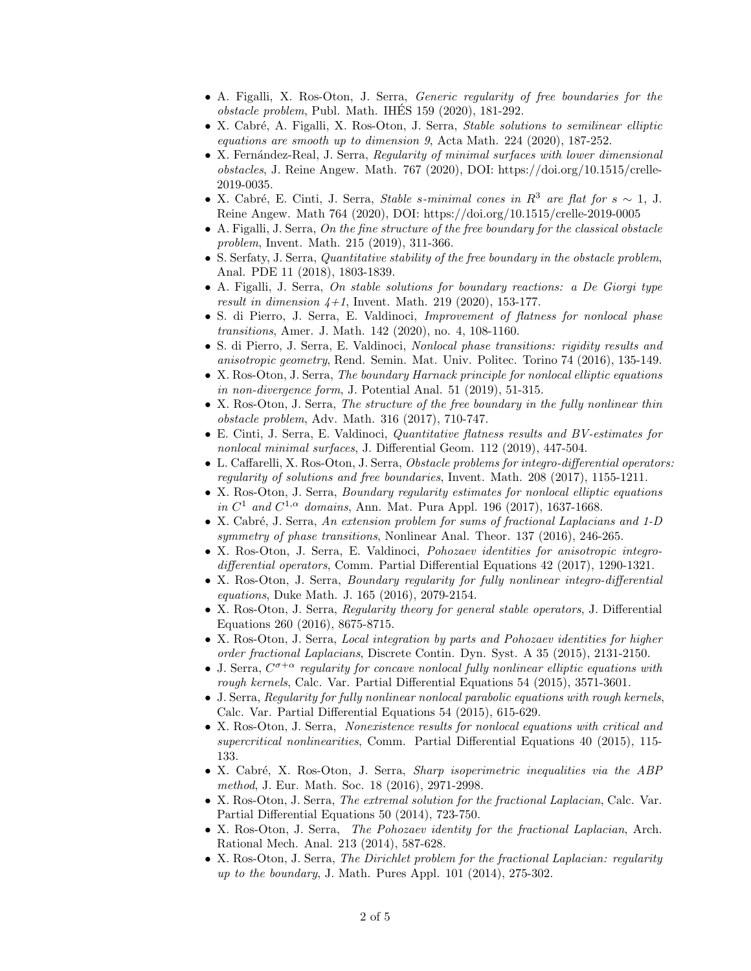- A. Figalli, X. Ros-Oton, J. Serra, Generic regularity of free boundaries for the  $obstack$  problem, Publ. Math. IHES 159 (2020), 181-292.
- X. Cabré, A. Figalli, X. Ros-Oton, J. Serra, Stable solutions to semilinear elliptic equations are smooth up to dimension 9, Acta Math. 224 (2020), 187-252.
- X. Fernández-Real, J. Serra, Regularity of minimal surfaces with lower dimensional obstacles, J. Reine Angew. Math. 767 (2020), DOI: https://doi.org/10.1515/crelle-2019-0035.
- X. Cabré, E. Cinti, J. Serra, Stable s-minimal cones in R<sup>3</sup> are flat for  $s \sim 1$ , J. Reine Angew. Math 764 (2020), DOI: https://doi.org/10.1515/crelle-2019-0005
- A. Figalli, J. Serra, On the fine structure of the free boundary for the classical obstacle problem, Invent. Math. 215 (2019), 311-366.
- S. Serfaty, J. Serra, *Quantitative stability of the free boundary in the obstacle problem*, Anal. PDE 11 (2018), 1803-1839.
- A. Figalli, J. Serra, On stable solutions for boundary reactions: a De Giorgi type result in dimension  $4+1$ , Invent. Math. 219 (2020), 153-177.
- S. di Pierro, J. Serra, E. Valdinoci, *Improvement of flatness for nonlocal phase* transitions, Amer. J. Math. 142 (2020), no. 4, 108-1160.
- S. di Pierro, J. Serra, E. Valdinoci, *Nonlocal phase transitions: rigidity results and* anisotropic geometry, Rend. Semin. Mat. Univ. Politec. Torino 74 (2016), 135-149.
- X. Ros-Oton, J. Serra, The boundary Harnack principle for nonlocal elliptic equations in non-divergence form, J. Potential Anal. 51 (2019), 51-315.
- X. Ros-Oton, J. Serra, The structure of the free boundary in the fully nonlinear thin obstacle problem, Adv. Math. 316 (2017), 710-747.
- E. Cinti, J. Serra, E. Valdinoci, Quantitative flatness results and BV-estimates for nonlocal minimal surfaces, J. Differential Geom. 112 (2019), 447-504.
- L. Caffarelli, X. Ros-Oton, J. Serra, *Obstacle problems for integro-differential operators:* regularity of solutions and free boundaries, Invent. Math. 208 (2017), 1155-1211.
- X. Ros-Oton, J. Serra, *Boundary regularity estimates for nonlocal elliptic equations* in  $C^1$  and  $C^{1,\alpha}$  domains, Ann. Mat. Pura Appl. 196 (2017), 1637-1668.
- X. Cabré, J. Serra, An extension problem for sums of fractional Laplacians and 1-D symmetry of phase transitions, Nonlinear Anal. Theor. 137 (2016), 246-265.
- X. Ros-Oton, J. Serra, E. Valdinoci, *Pohozaev identities for anisotropic integro*differential operators, Comm. Partial Differential Equations 42 (2017), 1290-1321.
- X. Ros-Oton, J. Serra, Boundary regularity for fully nonlinear integro-differential equations, Duke Math. J. 165 (2016), 2079-2154.
- X. Ros-Oton, J. Serra, Regularity theory for general stable operators, J. Differential Equations 260 (2016), 8675-8715.
- X. Ros-Oton, J. Serra, Local integration by parts and Pohozaev identities for higher order fractional Laplacians, Discrete Contin. Dyn. Syst. A 35 (2015), 2131-2150.
- J. Serra,  $C^{\sigma+\alpha}$  regularity for concave nonlocal fully nonlinear elliptic equations with rough kernels, Calc. Var. Partial Differential Equations 54 (2015), 3571-3601.
- J. Serra, Regularity for fully nonlinear nonlocal parabolic equations with rough kernels, Calc. Var. Partial Differential Equations 54 (2015), 615-629.
- X. Ros-Oton, J. Serra, Nonexistence results for nonlocal equations with critical and supercritical nonlinearities, Comm. Partial Differential Equations 40 (2015), 115-133.
- X. Cabré, X. Ros-Oton, J. Serra, *Sharp isoperimetric inequalities via the ABP* method, J. Eur. Math. Soc. 18 (2016), 2971-2998.
- X. Ros-Oton, J. Serra, The extremal solution for the fractional Laplacian, Calc. Var. Partial Differential Equations 50 (2014), 723-750.
- X. Ros-Oton, J. Serra, The Pohozaev identity for the fractional Laplacian, Arch. Rational Mech. Anal. 213 (2014), 587-628.
- X. Ros-Oton, J. Serra, The Dirichlet problem for the fractional Laplacian: regularity up to the boundary, J. Math. Pures Appl. 101 (2014), 275-302.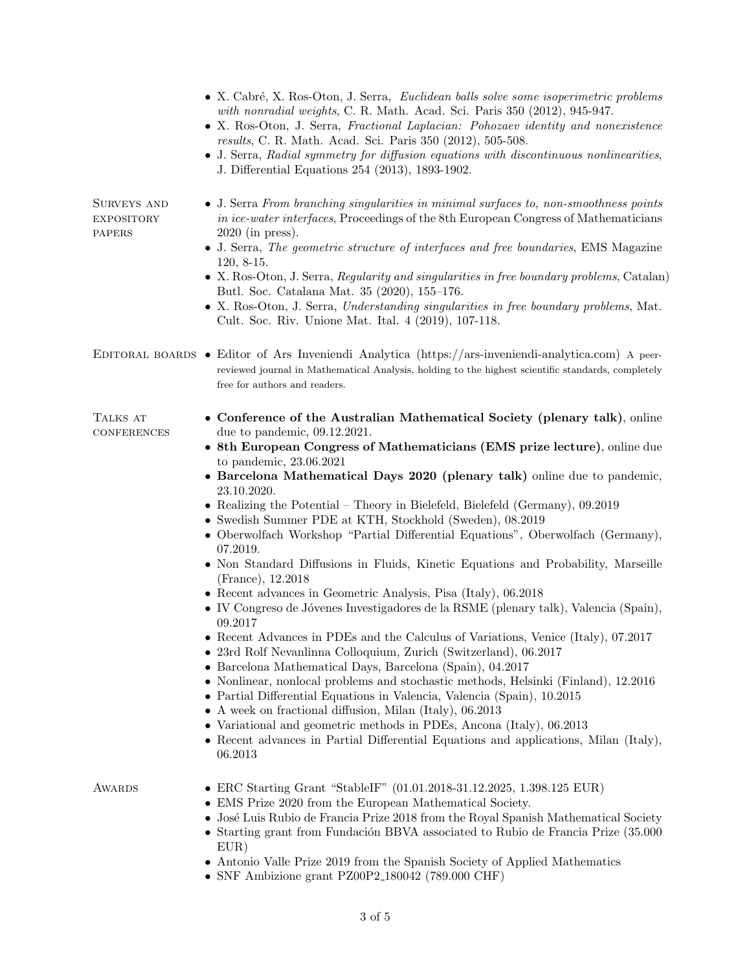|                                            | • X. Cabré, X. Ros-Oton, J. Serra, Euclidean balls solve some isoperimetric problems<br>with nonradial weights, C. R. Math. Acad. Sci. Paris 350 (2012), 945-947.<br>• X. Ros-Oton, J. Serra, Fractional Laplacian: Pohozaev identity and nonexistence<br>results, C. R. Math. Acad. Sci. Paris 350 (2012), 505-508.<br>• J. Serra, Radial symmetry for diffusion equations with discontinuous nonlinearities,<br>J. Differential Equations 254 (2013), 1893-1902.                                                                                                                                                                                                                                                                                                                                                                                                                                                                                                                                                                                                                                                                                                                                                                                                                                                                                                                                                                                                           |
|--------------------------------------------|------------------------------------------------------------------------------------------------------------------------------------------------------------------------------------------------------------------------------------------------------------------------------------------------------------------------------------------------------------------------------------------------------------------------------------------------------------------------------------------------------------------------------------------------------------------------------------------------------------------------------------------------------------------------------------------------------------------------------------------------------------------------------------------------------------------------------------------------------------------------------------------------------------------------------------------------------------------------------------------------------------------------------------------------------------------------------------------------------------------------------------------------------------------------------------------------------------------------------------------------------------------------------------------------------------------------------------------------------------------------------------------------------------------------------------------------------------------------------|
| SURVEYS AND<br><b>EXPOSITORY</b><br>PAPERS | • J. Serra From branching singularities in minimal surfaces to, non-smoothness points<br>in ice-water interfaces, Proceedings of the 8th European Congress of Mathematicians<br>$2020$ (in press).<br>• J. Serra, The geometric structure of interfaces and free boundaries, EMS Magazine<br>$120, 8-15.$<br>• X. Ros-Oton, J. Serra, Regularity and singularities in free boundary problems, Catalan)<br>Butl. Soc. Catalana Mat. 35 (2020), 155-176.<br>• X. Ros-Oton, J. Serra, Understanding singularities in free boundary problems, Mat.<br>Cult. Soc. Riv. Unione Mat. Ital. 4 (2019), 107-118.                                                                                                                                                                                                                                                                                                                                                                                                                                                                                                                                                                                                                                                                                                                                                                                                                                                                       |
|                                            | EDITORAL BOARDS • Editor of Ars Inveniendi Analytica (https://ars-inveniendi-analytica.com) A peer-<br>reviewed journal in Mathematical Analysis, holding to the highest scientific standards, completely<br>free for authors and readers.                                                                                                                                                                                                                                                                                                                                                                                                                                                                                                                                                                                                                                                                                                                                                                                                                                                                                                                                                                                                                                                                                                                                                                                                                                   |
| TALKS AT<br><b>CONFERENCES</b>             | • Conference of the Australian Mathematical Society (plenary talk), online<br>due to pandemic, $09.12.2021$ .<br>• 8th European Congress of Mathematicians (EMS prize lecture), online due<br>to pandemic, 23.06.2021<br>• Barcelona Mathematical Days 2020 (plenary talk) online due to pandemic,<br>23.10.2020.<br>• Realizing the Potential – Theory in Bielefeld, Bielefeld (Germany), $09.2019$<br>• Swedish Summer PDE at KTH, Stockhold (Sweden), 08.2019<br>• Oberwolfach Workshop "Partial Differential Equations", Oberwolfach (Germany),<br>07.2019.<br>• Non Standard Diffusions in Fluids, Kinetic Equations and Probability, Marseille<br>(France), 12.2018<br>• Recent advances in Geometric Analysis, Pisa (Italy), 06.2018<br>• IV Congreso de Jóvenes Investigadores de la RSME (plenary talk), Valencia (Spain),<br>09.2017<br>Recent Advances in PDEs and the Calculus of Variations, Venice (Italy), 07.2017<br>• 23rd Rolf Nevanlinna Colloquium, Zurich (Switzerland), 06.2017<br>• Barcelona Mathematical Days, Barcelona (Spain), 04.2017<br>• Nonlinear, nonlocal problems and stochastic methods, Helsinki (Finland), 12.2016<br>• Partial Differential Equations in Valencia, Valencia (Spain), 10.2015<br>• A week on fractional diffusion, Milan (Italy), $06.2013$<br>• Variational and geometric methods in PDEs, Ancona (Italy), 06.2013<br>• Recent advances in Partial Differential Equations and applications, Milan (Italy),<br>06.2013 |
| AWARDS                                     | • ERC Starting Grant "StableIF" (01.01.2018-31.12.2025, 1.398.125 EUR)<br>• EMS Prize 2020 from the European Mathematical Society.<br>José Luis Rubio de Francia Prize 2018 from the Royal Spanish Mathematical Society<br>• Starting grant from Fundación BBVA associated to Rubio de Francia Prize (35.000)<br>EUR)<br>• Antonio Valle Prize 2019 from the Spanish Society of Applied Mathematics<br>• SNF Ambizione grant PZ00P2 <sub>-180042</sub> (789.000 CHF)                                                                                                                                                                                                                                                                                                                                                                                                                                                                                                                                                                                                                                                                                                                                                                                                                                                                                                                                                                                                         |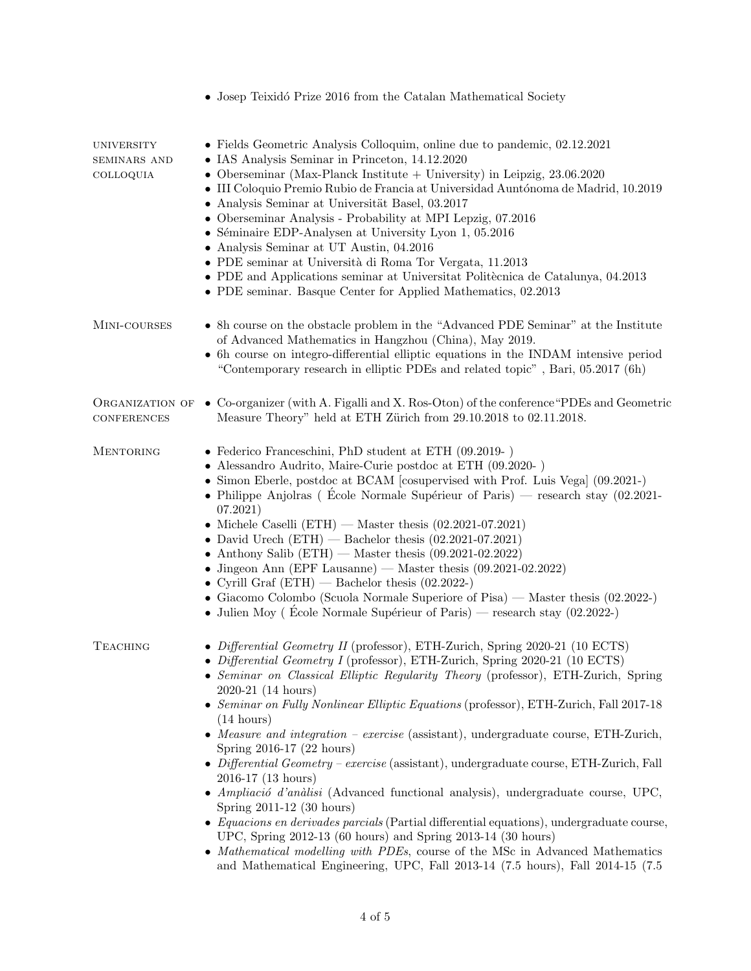|                                                       | • Josep Teixidó Prize 2016 from the Catalan Mathematical Society                                                                                                                                                                                                                                                                                                                                                                                                                                                                                                                                                                                                                                                                                                                                                                                                                                                                                                                                                                                                                     |
|-------------------------------------------------------|--------------------------------------------------------------------------------------------------------------------------------------------------------------------------------------------------------------------------------------------------------------------------------------------------------------------------------------------------------------------------------------------------------------------------------------------------------------------------------------------------------------------------------------------------------------------------------------------------------------------------------------------------------------------------------------------------------------------------------------------------------------------------------------------------------------------------------------------------------------------------------------------------------------------------------------------------------------------------------------------------------------------------------------------------------------------------------------|
| <b>UNIVERSITY</b><br><b>SEMINARS AND</b><br>COLLOQUIA | • Fields Geometric Analysis Colloquim, online due to pandemic, 02.12.2021<br>• IAS Analysis Seminar in Princeton, 14.12.2020<br>• Oberseminar (Max-Planck Institute + University) in Leipzig, $23.06.2020$<br>• III Coloquio Premio Rubio de Francia at Universidad Auntónoma de Madrid, 10.2019<br>• Analysis Seminar at Universität Basel, 03.2017<br>• Oberseminar Analysis - Probability at MPI Lepzig, 07.2016<br>• Séminaire EDP-Analysen at University Lyon 1, 05.2016<br>• Analysis Seminar at UT Austin, 04.2016<br>• PDE seminar at Università di Roma Tor Vergata, 11.2013<br>• PDE and Applications seminar at Universitat Politècnica de Catalunya, 04.2013<br>• PDE seminar. Basque Center for Applied Mathematics, 02.2013                                                                                                                                                                                                                                                                                                                                            |
| MINI-COURSES                                          | • 8h course on the obstacle problem in the "Advanced PDE Seminar" at the Institute<br>of Advanced Mathematics in Hangzhou (China), May 2019.<br>• 6h course on integro-differential elliptic equations in the INDAM intensive period<br>"Contemporary research in elliptic PDEs and related topic", Bari, 05.2017 (6h)                                                                                                                                                                                                                                                                                                                                                                                                                                                                                                                                                                                                                                                                                                                                                               |
| <b>CONFERENCES</b>                                    | ORGANIZATION OF ● Co-organizer (with A. Figalli and X. Ros-Oton) of the conference "PDEs and Geometric<br>Measure Theory" held at ETH Zürich from 29.10.2018 to 02.11.2018.                                                                                                                                                                                                                                                                                                                                                                                                                                                                                                                                                                                                                                                                                                                                                                                                                                                                                                          |
| <b>MENTORING</b>                                      | • Federico Franceschini, PhD student at ETH $(09.2019 - )$<br>• Alessandro Audrito, Maire-Curie postdoc at ETH (09.2020-)<br>• Simon Eberle, postdoc at BCAM [cosupervised with Prof. Luis Vega] (09.2021-)<br>• Philippe Anjolras (Ecole Normale Supérieur of Paris) — research stay $(02.2021 -$<br>07.2021)<br>• Michele Caselli (ETH) — Master thesis $(02.2021-07.2021)$<br>• David Urech $(ETH)$ - Bachelor thesis $(02.2021-07.2021)$<br>• Anthony Salib (ETH) — Master thesis $(09.2021-02.2022)$<br>• Jingeon Ann (EPF Lausanne) — Master thesis $(09.2021-02.2022)$<br>• Cyrill Graf $(ETH)$ - Bachelor thesis $(02.2022-)$<br>• Giacomo Colombo (Scuola Normale Superiore of Pisa) — Master thesis (02.2022-)<br>• Julien Moy (Ecole Normale Supérieur of Paris) — research stay $(02.2022)$                                                                                                                                                                                                                                                                              |
| <b>TEACHING</b>                                       | • Differential Geometry II (professor), ETH-Zurich, Spring 2020-21 (10 ECTS)<br>• Differential Geometry I (professor), ETH-Zurich, Spring 2020-21 (10 ECTS)<br>• Seminar on Classical Elliptic Regularity Theory (professor), ETH-Zurich, Spring<br>2020-21 (14 hours)<br>• Seminar on Fully Nonlinear Elliptic Equations (professor), ETH-Zurich, Fall 2017-18<br>$(14 \text{ hours})$<br>• Measure and integration – exercise (assistant), undergraduate course, ETH-Zurich,<br>Spring 2016-17 (22 hours)<br>• Differential Geometry – exercise (assistant), undergraduate course, ETH-Zurich, Fall<br>2016-17 (13 hours)<br>· Ampliació d'anàlisi (Advanced functional analysis), undergraduate course, UPC,<br>Spring 2011-12 (30 hours)<br>$\bullet$ Equacions en derivades parcials (Partial differential equations), undergraduate course,<br>UPC, Spring 2012-13 (60 hours) and Spring 2013-14 (30 hours)<br>• Mathematical modelling with PDEs, course of the MSc in Advanced Mathematics<br>and Mathematical Engineering, UPC, Fall 2013-14 (7.5 hours), Fall 2014-15 (7.5 |